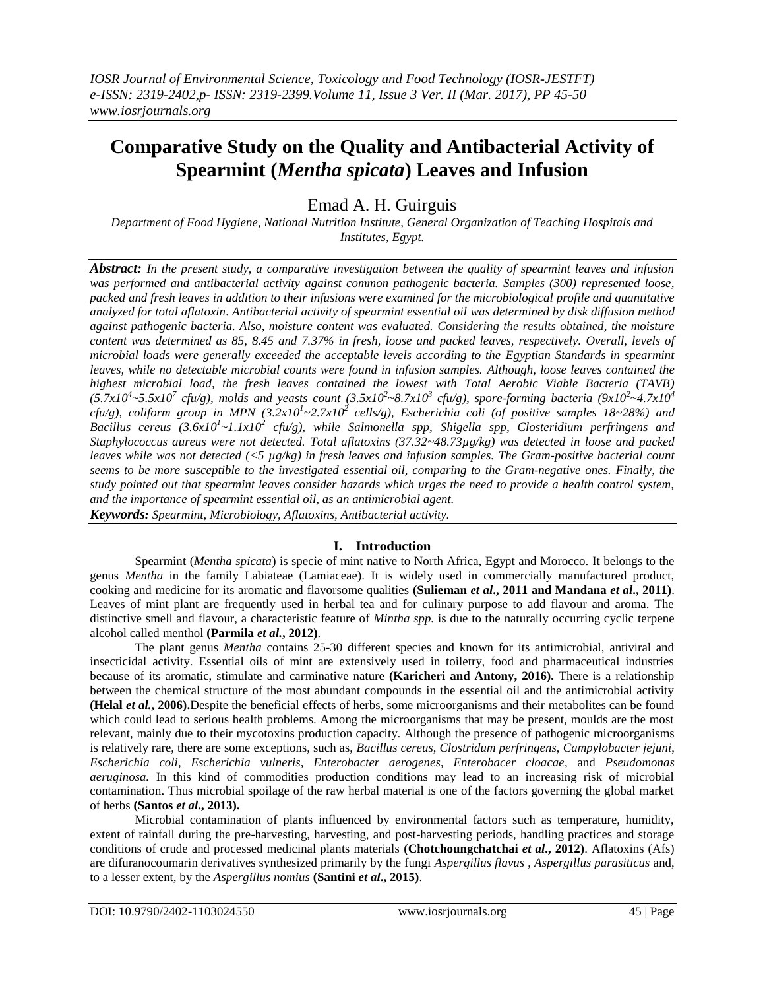# **Comparative Study on the Quality and Antibacterial Activity of Spearmint (***Mentha spicata***) Leaves and Infusion**

## Emad A. H. Guirguis

*Department of Food Hygiene, National Nutrition Institute, General Organization of Teaching Hospitals and Institutes, Egypt.*

*Abstract: In the present study, a comparative investigation between the quality of spearmint leaves and infusion was performed and antibacterial activity against common pathogenic bacteria. Samples (300) represented loose, packed and fresh leaves in addition to their infusions were examined for the microbiological profile and quantitative analyzed for total aflatoxin. Antibacterial activity of spearmint essential oil was determined by disk diffusion method against pathogenic bacteria. Also, moisture content was evaluated. Considering the results obtained, the moisture content was determined as 85, 8.45 and 7.37% in fresh, loose and packed leaves, respectively. Overall, levels of microbial loads were generally exceeded the acceptable levels according to the Egyptian Standards in spearmint leaves, while no detectable microbial counts were found in infusion samples. Although, loose leaves contained the highest microbial load, the fresh leaves contained the lowest with Total Aerobic Viable Bacteria (TAVB)*   $(5.7x10^4 \text{~-} 5.5x10^7 \text{~cftu/g})$ , molds and yeasts count  $(3.5x10^2 \text{~-} 8.7x10^3 \text{~cftu/g})$ , spore-forming bacteria  $(9x10^2 \text{~-} 4.7x10^4 \text{~-} 4.7x10^4 \text{~-} 4.7x10^4 \text{~-} 4.7x10^4 \text{~-} 4.7x10^4 \text{~-} 4.7x10^4 \text{$ *cfu/g), coliform group in MPN*  $(3.2x10<sup>1</sup>~2.7x10<sup>2</sup>$  *cells/g), Escherichia coli (of positive samples 18~28%) and Bacillus cereus (3.6x10<sup>1</sup> ~1.1x10<sup>2</sup> cfu/g), while Salmonella spp, Shigella spp, Closteridium perfringens and Staphylococcus aureus were not detected. Total aflatoxins (37.32~48.73µg/kg) was detected in loose and packed leaves while was not detected (<5 µg/kg) in fresh leaves and infusion samples. The Gram-positive bacterial count seems to be more susceptible to the investigated essential oil, comparing to the Gram-negative ones. Finally, the study pointed out that spearmint leaves consider hazards which urges the need to provide a health control system, and the importance of spearmint essential oil, as an antimicrobial agent. Keywords: Spearmint, Microbiology, Aflatoxins, Antibacterial activity.* 

## **I. Introduction**

Spearmint (*Mentha spicata*) is specie of mint native to North Africa, Egypt and Morocco. It belongs to the genus *Mentha* in the family Labiateae (Lamiaceae). It is widely used in commercially manufactured product, cooking and medicine for its aromatic and flavorsome qualities **(Sulieman** *et al***., 2011 and Mandana** *et al***., 2011)**. Leaves of mint plant are frequently used in herbal tea and for culinary purpose to add flavour and aroma. The distinctive smell and flavour, a characteristic feature of *Mintha spp.* is due to the naturally occurring cyclic terpene alcohol called menthol **(Parmila** *et al.***, 2012)**.

The plant genus *Mentha* contains 25-30 different species and known for its antimicrobial, antiviral and insecticidal activity. Essential oils of mint are extensively used in toiletry, food and pharmaceutical industries because of its aromatic, stimulate and carminative nature **(Karicheri and Antony, 2016).** There is a relationship between the chemical structure of the most abundant compounds in the essential oil and the antimicrobial activity **(Helal** *et al.***, 2006).**Despite the beneficial effects of herbs, some microorganisms and their metabolites can be found which could lead to serious health problems. Among the microorganisms that may be present, moulds are the most relevant, mainly due to their mycotoxins production capacity. Although the presence of pathogenic microorganisms is relatively rare, there are some exceptions, such as, *Bacillus cereus*, *Clostridum perfringens*, *Campylobacter jejuni*, *Escherichia coli*, *Escherichia vulneris*, *Enterobacter aerogenes*, *Enterobacer cloacae*, and *Pseudomonas aeruginosa.* In this kind of commodities production conditions may lead to an increasing risk of microbial contamination. Thus microbial spoilage of the raw herbal material is one of the factors governing the global market of herbs **(Santos** *et al***., 2013).**

Microbial contamination of plants influenced by environmental factors such as temperature, humidity, extent of rainfall during the pre-harvesting, harvesting, and post-harvesting periods, handling practices and storage conditions of crude and processed medicinal plants materials **(Chotchoungchatchai** *et al***., 2012)**. Aflatoxins (Afs) are difuranocoumarin derivatives synthesized primarily by the fungi *Aspergillus flavus* , *Aspergillus parasiticus* and, to a lesser extent, by the *Aspergillus nomius* **(Santini** *et al***., 2015)**.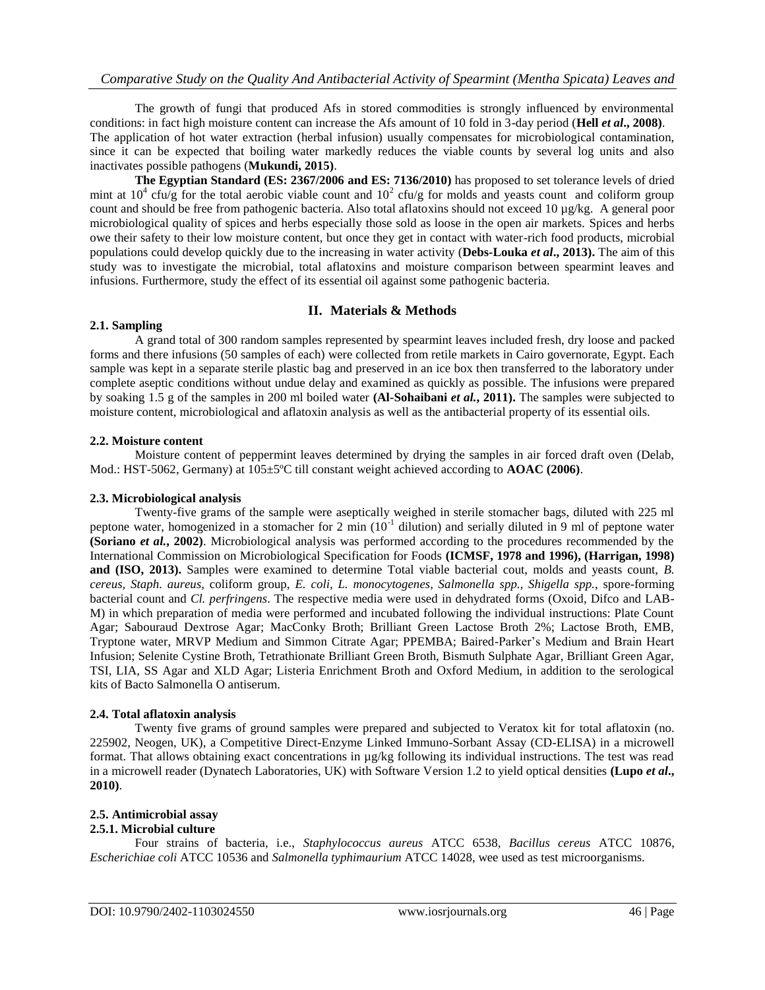The growth of fungi that produced Afs in stored commodities is strongly influenced by environmental conditions: in fact high moisture content can increase the Afs amount of 10 fold in 3-day period (**Hell** *et al***., 2008)**. The application of hot water extraction (herbal infusion) usually compensates for microbiological contamination, since it can be expected that boiling water markedly reduces the viable counts by several log units and also inactivates possible pathogens (**Mukundi, 2015)**.

**The Egyptian Standard (ES: 2367/2006 and ES: 7136/2010)** has proposed to set tolerance levels of dried mint at  $10^4$  cfu/g for the total aerobic viable count and  $10^2$  cfu/g for molds and yeasts count and coliform group count and should be free from pathogenic bacteria. Also total aflatoxins should not exceed 10  $\mu$ g/kg. A general poor microbiological quality of spices and herbs especially those sold as loose in the open air markets. Spices and herbs owe their safety to their low moisture content, but once they get in contact with water-rich food products, microbial populations could develop quickly due to the increasing in water activity (**Debs-Louka** *et al***., 2013).** The aim of this study was to investigate the microbial, total aflatoxins and moisture comparison between spearmint leaves and infusions. Furthermore, study the effect of its essential oil against some pathogenic bacteria.

## **II. Materials & Methods**

### **2.1. Sampling**

A grand total of 300 random samples represented by spearmint leaves included fresh, dry loose and packed forms and there infusions (50 samples of each) were collected from retile markets in Cairo governorate, Egypt. Each sample was kept in a separate sterile plastic bag and preserved in an ice box then transferred to the laboratory under complete aseptic conditions without undue delay and examined as quickly as possible. The infusions were prepared by soaking 1.5 g of the samples in 200 ml boiled water **(Al-Sohaibani** *et al.***, 2011).** The samples were subjected to moisture content, microbiological and aflatoxin analysis as well as the antibacterial property of its essential oils.

## **2.2. Moisture content**

Moisture content of peppermint leaves determined by drying the samples in air forced draft oven (Delab, Mod.: HST-5062, Germany) at 105±5ºC till constant weight achieved according to **AOAC (2006)**.

## **2.3. Microbiological analysis**

Twenty-five grams of the sample were aseptically weighed in sterile stomacher bags, diluted with 225 ml peptone water, homogenized in a stomacher for 2 min  $(10^{-1}$  dilution) and serially diluted in 9 ml of peptone water **(Soriano** *et al.***, 2002)**. Microbiological analysis was performed according to the procedures recommended by the International Commission on Microbiological Specification for Foods **(ICMSF, 1978 and 1996), (Harrigan, 1998) and (ISO, 2013).** Samples were examined to determine Total viable bacterial cout, molds and yeasts count, *B. cereus, Staph. aureus,* coliform group, *E. coli, L. monocytogenes, Salmonella spp., Shigella spp.*, spore-forming bacterial count and *Cl. perfringens*. The respective media were used in dehydrated forms (Oxoid, Difco and LAB-M) in which preparation of media were performed and incubated following the individual instructions: Plate Count Agar; Sabouraud Dextrose Agar; MacConky Broth; Brilliant Green Lactose Broth 2%; Lactose Broth, EMB, Tryptone water, MRVP Medium and Simmon Citrate Agar; PPEMBA; Baired-Parker's Medium and Brain Heart Infusion; Selenite Cystine Broth, Tetrathionate Brilliant Green Broth, Bismuth Sulphate Agar, Brilliant Green Agar, TSI, LIA, SS Agar and XLD Agar; Listeria Enrichment Broth and Oxford Medium, in addition to the serological kits of Bacto Salmonella O antiserum.

## **2.4. Total aflatoxin analysis**

Twenty five grams of ground samples were prepared and subjected to Veratox kit for total aflatoxin (no. 225902, Neogen, UK), a Competitive Direct-Enzyme Linked Immuno-Sorbant Assay (CD-ELISA) in a microwell format. That allows obtaining exact concentrations in µg/kg following its individual instructions. The test was read in a microwell reader (Dynatech Laboratories, UK) with Software Version 1.2 to yield optical densities **(Lupo** *et al***., 2010)**.

## **2.5. Antimicrobial assay**

## **2.5.1. Microbial culture**

Four strains of bacteria, i.e., *Staphylococcus aureus* ATCC 6538, *Bacillus cereus* ATCC 10876, *Escherichiae coli* ATCC 10536 and *Salmonella typhimaurium* ATCC 14028, wee used as test microorganisms.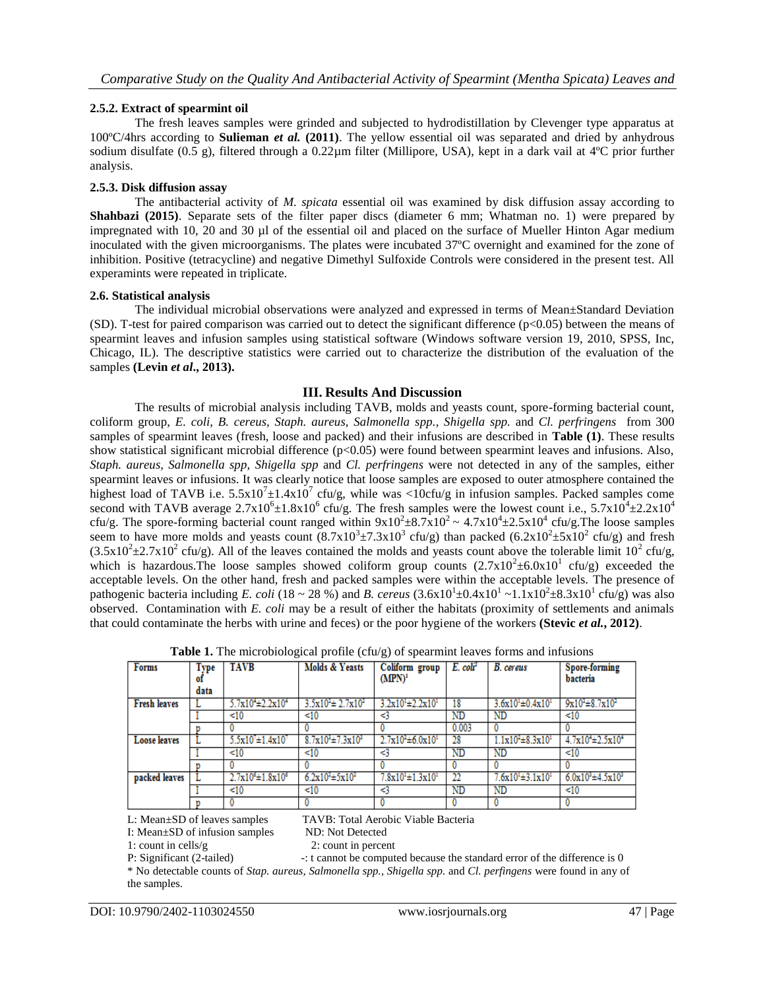## **2.5.2. Extract of spearmint oil**

The fresh leaves samples were grinded and subjected to hydrodistillation by Clevenger type apparatus at 100ºC/4hrs according to **Sulieman** *et al.* **(2011)**. The yellow essential oil was separated and dried by anhydrous sodium disulfate (0.5 g), filtered through a 0.22µm filter (Millipore, USA), kept in a dark vail at 4°C prior further analysis.

### **2.5.3. Disk diffusion assay**

The antibacterial activity of *M. spicata* essential oil was examined by disk diffusion assay according to **Shahbazi (2015)**. Separate sets of the filter paper discs (diameter 6 mm; Whatman no. 1) were prepared by impregnated with 10, 20 and 30 µl of the essential oil and placed on the surface of Mueller Hinton Agar medium inoculated with the given microorganisms. The plates were incubated 37ºC overnight and examined for the zone of inhibition. Positive (tetracycline) and negative Dimethyl Sulfoxide Controls were considered in the present test. All experamints were repeated in triplicate.

### **2.6. Statistical analysis**

The individual microbial observations were analyzed and expressed in terms of Mean±Standard Deviation (SD). T-test for paired comparison was carried out to detect the significant difference  $(p<0.05)$  between the means of spearmint leaves and infusion samples using statistical software (Windows software version 19, 2010, SPSS, Inc, Chicago, IL). The descriptive statistics were carried out to characterize the distribution of the evaluation of the samples **(Levin** *et al***., 2013).**

## **III. Results And Discussion**

The results of microbial analysis including TAVB, molds and yeasts count, spore-forming bacterial count, coliform group, *E. coli, B. cereus, Staph. aureus, Salmonella spp., Shigella spp.* and *Cl. perfringens* from 300 samples of spearmint leaves (fresh, loose and packed) and their infusions are described in **Table (1)**. These results show statistical significant microbial difference (p<0.05) were found between spearmint leaves and infusions. Also, *Staph. aureus, Salmonella spp, Shigella spp* and *Cl. perfringens* were not detected in any of the samples, either spearmint leaves or infusions. It was clearly notice that loose samples are exposed to outer atmosphere contained the highest load of TAVB i.e.  $5.5 \times 10^{7} \pm 1.4 \times 10^{7}$  cfu/g, while was <10cfu/g in infusion samples. Packed samples come second with TAVB average  $2.7 \times 10^6 \pm 1.8 \times 10^6$  cfu/g. The fresh samples were the lowest count i.e.,  $5.7 \times 10^4 \pm 2.2 \times 10^4$ cfu/g. The spore-forming bacterial count ranged within  $9x10^2 \pm 8.7x10^2 \sim 4.7x10^4 \pm 2.5x10^4$  cfu/g. The loose samples seem to have more molds and yeasts count  $(8.7 \times 10^3 \pm 7.3 \times 10^3 \text{ cftu/g})$  than packed  $(6.2 \times 10^2 \pm 5 \times 10^2 \text{ cftu/g})$  and fresh  $(3.5 \times 10^2 \pm 2.7 \times 10^2 \text{ cftu/g})$ . All of the leaves contained the molds and yeasts count above the tolerable limit 10<sup>2</sup> cfu/g, which is hazardous. The loose samples showed coliform group counts  $(2.7 \times 10^2 \pm 6.0 \times 10^1$  cfu/g) exceeded the acceptable levels. On the other hand, fresh and packed samples were within the acceptable levels. The presence of pathogenic bacteria including *E. coli* (18 ~ 28 %) and *B. cereus* (3.6x10<sup>1</sup>±0.4x10<sup>1</sup> ~1.1x10<sup>2</sup>±8.3x10<sup>1</sup> cfu/g) was also observed. Contamination with *E. coli* may be a result of either the habitats (proximity of settlements and animals that could contaminate the herbs with urine and feces) or the poor hygiene of the workers **(Stevic** *et al.***, 2012)**.

| <b>Forms</b>        | Type<br>ΟI<br>data | <b>TAVB</b>                 | Molds & Yeasts              | Coliform group<br>$(MPN)^1$ | E. coli <sup>2</sup> | <b>B.</b> cereus            | Spore-forming<br>bacteria              |
|---------------------|--------------------|-----------------------------|-----------------------------|-----------------------------|----------------------|-----------------------------|----------------------------------------|
| <b>Fresh leaves</b> |                    | $5.7x10^{4} \pm 2.2x10^{4}$ | $3.5x10^{2} \pm 2.7x10^{2}$ | $3.2x10^{1} \pm 2.2x10^{1}$ | -18                  | $3.6x10^{1} \pm 0.4x10^{1}$ | $9x10^2 \pm 8.7x10^2$                  |
|                     |                    | < 10                        | <10                         | -3                          | ND                   | ND                          | <10                                    |
|                     |                    |                             |                             |                             | 0.003                |                             |                                        |
| <b>Loose leaves</b> |                    | $5.5x10' \pm 1.4x10'$       | $8.7x10^{3} \pm 7.3x10^{3}$ | $2.7x10^{2} \pm 6.0x10^{1}$ | 28                   | $1.1x10^{2} \pm 8.3x10^{1}$ | $4.7x10^{4} \pm 2.5x10^{4}$            |
|                     |                    | < 10                        | < 10                        | -3                          | <b>ND</b>            | ND                          | <10                                    |
|                     |                    |                             |                             |                             |                      |                             |                                        |
| packed leaves       |                    | $2.7x10^{6} \pm 1.8x10^{6}$ | $6.2x10^{2} \pm 5x10^{2}$   | $7.8x10^{1} \pm 1.3x10^{1}$ | -22                  | $7.6x10^{1} \pm 3.1x10^{1}$ | $6.0x10^{3}$ $\pm$ 4.5x10 <sup>3</sup> |
|                     |                    | <10                         | < 10                        | -3                          | ND                   | ND                          | <10                                    |
|                     |                    |                             |                             |                             |                      |                             |                                        |

**Table 1.** The microbiological profile (cfu/g) of spearmint leaves forms and infusions

L: Mean±SD of leaves samples TAVB: Total Aerobic Viable Bacteria

I: Mean±SD of infusion samples ND: Not Detected

1: count in cells/g 2: count in percent

P: Significant (2-tailed) -: t cannot be computed because the standard error of the difference is 0 \* No detectable counts of *Stap. aureus, Salmonella spp., Shigella spp.* and *Cl. perfingens* were found in any of the samples.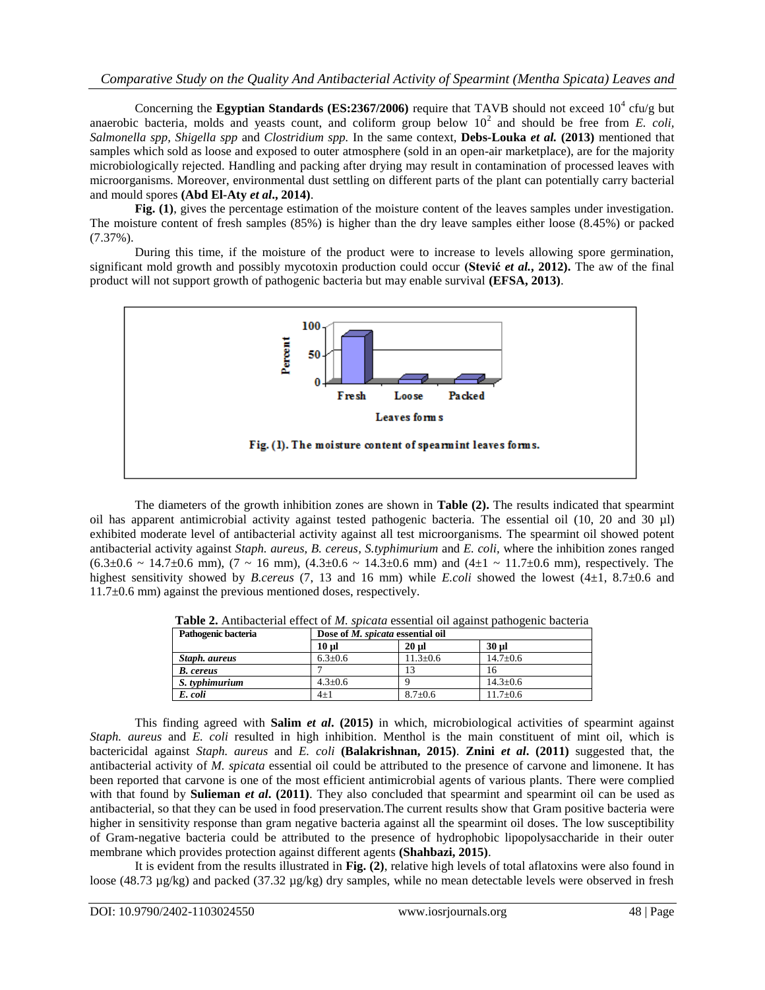Concerning the **Egyptian Standards (ES:2367/2006)** require that TAVB should not exceed  $10^4$  cfu/g but anaerobic bacteria, molds and yeasts count, and coliform group below  $10^2$  and should be free from *E. coli*, *Salmonella spp, Shigella spp* and *Clostridium spp.* In the same context, **Debs-Louka** *et al.* **(2013)** mentioned that samples which sold as loose and exposed to outer atmosphere (sold in an open-air marketplace), are for the majority microbiologically rejected. Handling and packing after drying may result in contamination of processed leaves with microorganisms. Moreover, environmental dust settling on different parts of the plant can potentially carry bacterial and mould spores **(Abd El-Aty** *et al***., 2014)**.

**Fig. (1)**, gives the percentage estimation of the moisture content of the leaves samples under investigation. The moisture content of fresh samples (85%) is higher than the dry leave samples either loose (8.45%) or packed (7.37%).

During this time, if the moisture of the product were to increase to levels allowing spore germination, significant mold growth and possibly mycotoxin production could occur **(Stević** *et al.***, 2012).** The aw of the final product will not support growth of pathogenic bacteria but may enable survival **(EFSA, 2013)**.



The diameters of the growth inhibition zones are shown in **Table (2).** The results indicated that spearmint oil has apparent antimicrobial activity against tested pathogenic bacteria. The essential oil (10, 20 and 30 µl) exhibited moderate level of antibacterial activity against all test microorganisms. The spearmint oil showed potent antibacterial activity against *Staph. aureus, B. cereus, S.typhimurium* and *E. coli,* where the inhibition zones ranged  $(6.3\pm0.6 \sim 14.7\pm0.6 \text{ mm})$ ,  $(7 \sim 16 \text{ mm})$ ,  $(4.3\pm0.6 \sim 14.3\pm0.6 \text{ mm})$  and  $(4\pm1 \sim 11.7\pm0.6 \text{ mm})$ , respectively. The highest sensitivity showed by *B.cereus* (7, 13 and 16 mm) while *E.coli* showed the lowest (4±1, 8.7±0.6 and  $11.7\pm0.6$  mm) against the previous mentioned doses, respectively.

| <b>Table 2.</b> Antibacterial effect of <i>M. spicata</i> essential oil against pathogenic bacteria |                                  |      |      |  |  |  |  |  |  |
|-----------------------------------------------------------------------------------------------------|----------------------------------|------|------|--|--|--|--|--|--|
| Pathogenic bacteria                                                                                 | Dose of M. spicata essential oil |      |      |  |  |  |  |  |  |
|                                                                                                     | 10.1                             | 20.1 | 20 I |  |  |  |  |  |  |

| Pathogenic bacteria | Dose of <i>M. spicata</i> essential oil |                |                |  |  |
|---------------------|-----------------------------------------|----------------|----------------|--|--|
|                     | $10 \text{ ul}$                         | $20$ ul        | 30 ul          |  |  |
| Staph, aureus       | $6.3 \pm 0.6$                           | $11.3 \pm 0.6$ | $14.7 \pm 0.6$ |  |  |
| <b>B.</b> cereus    |                                         | 13             | Iб             |  |  |
| S. typhimurium      | $4.3 \pm 0.6$                           |                | $14.3 \pm 0.6$ |  |  |
| E. coli             | $4 + 1$                                 | $8.7 \pm 0.6$  | $11.7 \pm 0.6$ |  |  |

This finding agreed with **Salim** *et al***. (2015)** in which, microbiological activities of spearmint against *Staph. aureus* and *E. coli* resulted in high inhibition. Menthol is the main constituent of mint oil, which is bactericidal against *Staph. aureus* and *E. coli* **(Balakrishnan, 2015)**. **Znini** *et al***. (2011)** suggested that, the antibacterial activity of *M. spicata* essential oil could be attributed to the presence of carvone and limonene. It has been reported that carvone is one of the most efficient antimicrobial agents of various plants. There were complied with that found by **Sulieman** *et al***. (2011)**. They also concluded that spearmint and spearmint oil can be used as antibacterial, so that they can be used in food preservation.The current results show that Gram positive bacteria were higher in sensitivity response than gram negative bacteria against all the spearmint oil doses. The low susceptibility of Gram-negative bacteria could be attributed to the presence of hydrophobic lipopolysaccharide in their outer membrane which provides protection against different agents **(Shahbazi, 2015)**.

It is evident from the results illustrated in **Fig. (2)**, relative high levels of total aflatoxins were also found in loose (48.73 µg/kg) and packed (37.32 µg/kg) dry samples, while no mean detectable levels were observed in fresh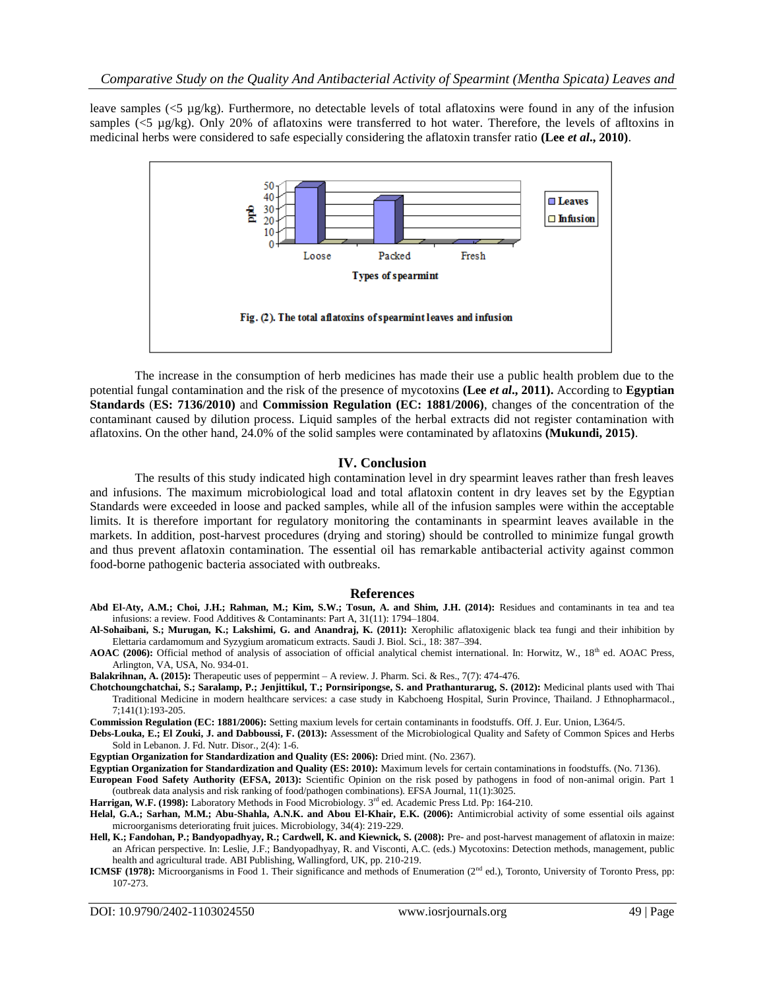leave samples ( $5 \mu g/kg$ ). Furthermore, no detectable levels of total aflatoxins were found in any of the infusion samples (<5 µg/kg). Only 20% of aflatoxins were transferred to hot water. Therefore, the levels of afltoxins in medicinal herbs were considered to safe especially considering the aflatoxin transfer ratio **(Lee** *et al***., 2010)**.



The increase in the consumption of herb medicines has made their use a public health problem due to the potential fungal contamination and the risk of the presence of mycotoxins **(Lee** *et al***., 2011).** According to **Egyptian Standards** (**ES: 7136/2010)** and **Commission Regulation (EC: 1881/2006)**, changes of the concentration of the contaminant caused by dilution process. Liquid samples of the herbal extracts did not register contamination with aflatoxins. On the other hand, 24.0% of the solid samples were contaminated by aflatoxins **(Mukundi, 2015)**.

#### **IV. Conclusion**

The results of this study indicated high contamination level in dry spearmint leaves rather than fresh leaves and infusions. The maximum microbiological load and total aflatoxin content in dry leaves set by the Egyptian Standards were exceeded in loose and packed samples, while all of the infusion samples were within the acceptable limits. It is therefore important for regulatory monitoring the contaminants in spearmint leaves available in the markets. In addition, post-harvest procedures (drying and storing) should be controlled to minimize fungal growth and thus prevent aflatoxin contamination. The essential oil has remarkable antibacterial activity against common food-borne pathogenic bacteria associated with outbreaks.

#### **References**

Abd El-Aty, A.M.; Choi, J.H.; Rahman, M.; Kim, S.W.; Tosun, A. and Shim, J.H. (2014): Residues and contaminants in tea and tea infusions: a review. Food Additives & Contaminants: Part A, 31(11): 1794–1804.

**Al-Sohaibani, S.; Murugan, K.; Lakshimi, G. and Anandraj, K. (2011):** Xerophilic aflatoxigenic black tea fungi and their inhibition by Elettaria cardamomum and Syzygium aromaticum extracts. Saudi J. Biol. Sci., 18: 387–394.

AOAC (2006): Official method of analysis of association of official analytical chemist international. In: Horwitz, W., 18<sup>th</sup> ed. AOAC Press, Arlington, VA, USA, No. 934-01.

**Balakrihnan, A. (2015):** Therapeutic uses of peppermint – A review. J. Pharm. Sci. & Res., 7(7): 474-476.

**[Chotchoungchatchai, S.](https://www.ncbi.nlm.nih.gov/pubmed/?term=Chotchoungchatchai%20S%5BAuthor%5D&cauthor=true&cauthor_uid=22366679)[; Saralamp, P.;](https://www.ncbi.nlm.nih.gov/pubmed/?term=Saralamp%20P%5BAuthor%5D&cauthor=true&cauthor_uid=22366679) [Jenjittikul, T.](https://www.ncbi.nlm.nih.gov/pubmed/?term=Jenjittikul%20T%5BAuthor%5D&cauthor=true&cauthor_uid=22366679)[; Pornsiripongse, S.](https://www.ncbi.nlm.nih.gov/pubmed/?term=Pornsiripongse%20S%5BAuthor%5D&cauthor=true&cauthor_uid=22366679) and [Prathanturarug, S.](https://www.ncbi.nlm.nih.gov/pubmed/?term=Prathanturarug%20S%5BAuthor%5D&cauthor=true&cauthor_uid=22366679) (2012):** Medicinal plants used with Thai Traditional Medicine in modern healthcare services: a case study in Kabchoeng Hospital, Surin Province, Thailand. [J Ethnopharmacol.,](https://www.ncbi.nlm.nih.gov/pubmed/22366679) 7;141(1):193-205.

**Commission Regulation (EC: 1881/2006):** Setting maxium levels for certain contaminants in foodstuffs. Off. J. Eur. Union, L364/5.

**Debs-Louka, E.; El Zouki, J. and Dabboussi, F. (2013):** Assessment of the Microbiological Quality and Safety of Common Spices and Herbs Sold in Lebanon. J. Fd. Nutr. Disor., 2(4): 1-6.

**Egyptian Organization for Standardization and Quality (ES: 2006):** Dried mint. (No. 2367).

**Egyptian Organization for Standardization and Quality (ES: 2010):** Maximum levels for certain contaminations in foodstuffs. (No. 7136).

**European Food Safety Authority (EFSA, 2013):** Scientific Opinion on the risk posed by pathogens in food of non-animal origin. Part 1 (outbreak data analysis and risk ranking of food/pathogen combinations). EFSA Journal, 11(1):3025.

**Harrigan, W.F. (1998):** Laboratory Methods in Food Microbiology. 3rd ed. Academic Press Ltd. Pp: 164-210.

- **Helal, G.A.; Sarhan, M.M.; Abu-Shahla, A.N.K. and Abou El-Khair, E.K. (2006):** Antimicrobial activity of some essential oils against microorganisms deteriorating fruit juices. Microbiology, 34(4): 219-229.
- **Hell, K.; Fandohan, P.; Bandyopadhyay, R.; Cardwell, K. and Kiewnick, S. (2008):** Pre- and post-harvest management of aflatoxin in maize: an African perspective. In: Leslie, J.F.; Bandyopadhyay, R. and Visconti, A.C. (eds.) Mycotoxins: Detection methods, management, public health and agricultural trade. ABI Publishing, Wallingford, UK, pp. 210-219.
- **ICMSF (1978):** Microorganisms in Food 1. Their significance and methods of Enumeration (2<sup>nd</sup> ed.), Toronto, University of Toronto Press, pp: 107-273.